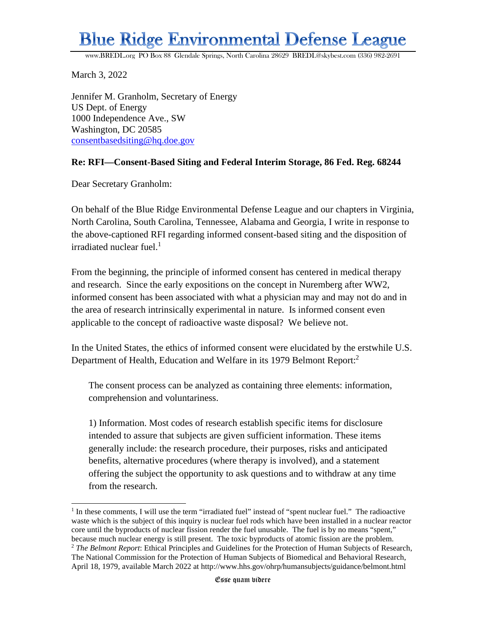## **Blue Ridge Environmental Defense League**

[www.BREDL.org](http://www.bredl.org/) PO Box 88 Glendale Springs, North Carolina 28629 [BREDL@skybest.com](mailto:BREDL@skybest.com) (336) 982-2691

March 3, 2022

Jennifer M. Granholm, Secretary of Energy US Dept. of Energy 1000 Independence Ave., SW Washington, DC 20585 [consentbasedsiting@hq.doe.gov](mailto:consentbasedsiting@hq.doe.gov)

## **Re: RFI—Consent-Based Siting and Federal Interim Storage, 86 Fed. Reg. 68244**

Dear Secretary Granholm:

On behalf of the Blue Ridge Environmental Defense League and our chapters in Virginia, North Carolina, South Carolina, Tennessee, Alabama and Georgia, I write in response to the above-captioned RFI regarding informed consent-based siting and the disposition of irradiated nuclear fuel. $1$ 

From the beginning, the principle of informed consent has centered in medical therapy and research. Since the early expositions on the concept in Nuremberg after WW2, informed consent has been associated with what a physician may and may not do and in the area of research intrinsically experimental in nature. Is informed consent even applicable to the concept of radioactive waste disposal? We believe not.

In the United States, the ethics of informed consent were elucidated by the erstwhile U.S. Department of Health, Education and Welfare in its 1979 Belmont Report:<sup>2</sup>

The consent process can be analyzed as containing three elements: information, comprehension and voluntariness.

1) Information. Most codes of research establish specific items for disclosure intended to assure that subjects are given sufficient information. These items generally include: the research procedure, their purposes, risks and anticipated benefits, alternative procedures (where therapy is involved), and a statement offering the subject the opportunity to ask questions and to withdraw at any time from the research.

<sup>&</sup>lt;sup>1</sup> In these comments, I will use the term "irradiated fuel" instead of "spent nuclear fuel." The radioactive waste which is the subject of this inquiry is nuclear fuel rods which have been installed in a nuclear reactor core until the byproducts of nuclear fission render the fuel unusable. The fuel is by no means "spent," because much nuclear energy is still present. The toxic byproducts of atomic fission are the problem. <sup>2</sup> *The Belmont Report*: Ethical Principles and Guidelines for the Protection of Human Subjects of Research, The National Commission for the Protection of Human Subjects of Biomedical and Behavioral Research, April 18, 1979, available March 2022 at http://www.hhs.gov/ohrp/humansubjects/guidance/belmont.html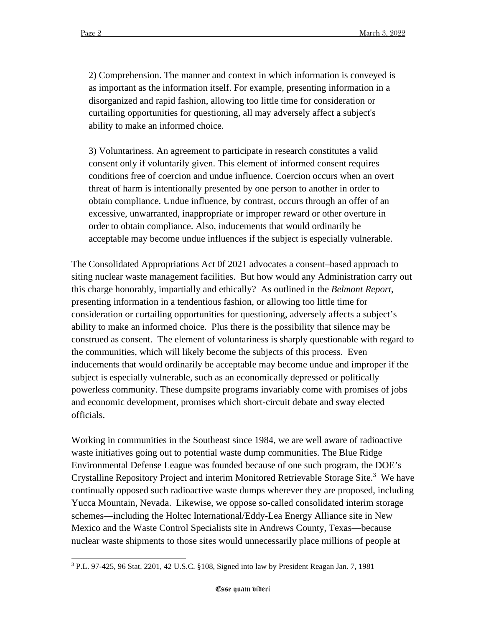2) Comprehension. The manner and context in which information is conveyed is as important as the information itself. For example, presenting information in a disorganized and rapid fashion, allowing too little time for consideration or curtailing opportunities for questioning, all may adversely affect a subject's ability to make an informed choice.

3) Voluntariness. An agreement to participate in research constitutes a valid consent only if voluntarily given. This element of informed consent requires conditions free of coercion and undue influence. Coercion occurs when an overt threat of harm is intentionally presented by one person to another in order to obtain compliance. Undue influence, by contrast, occurs through an offer of an excessive, unwarranted, inappropriate or improper reward or other overture in order to obtain compliance. Also, inducements that would ordinarily be acceptable may become undue influences if the subject is especially vulnerable.

The Consolidated Appropriations Act 0f 2021 advocates a consent–based approach to siting nuclear waste management facilities. But how would any Administration carry out this charge honorably, impartially and ethically? As outlined in the *Belmont Report*, presenting information in a tendentious fashion, or allowing too little time for consideration or curtailing opportunities for questioning, adversely affects a subject's ability to make an informed choice. Plus there is the possibility that silence may be construed as consent. The element of voluntariness is sharply questionable with regard to the communities, which will likely become the subjects of this process. Even inducements that would ordinarily be acceptable may become undue and improper if the subject is especially vulnerable, such as an economically depressed or politically powerless community. These dumpsite programs invariably come with promises of jobs and economic development, promises which short-circuit debate and sway elected officials.

Working in communities in the Southeast since 1984, we are well aware of radioactive waste initiatives going out to potential waste dump communities. The Blue Ridge Environmental Defense League was founded because of one such program, the DOE's Crystalline Repository Project and interim Monitored Retrievable Storage Site.<sup>3</sup> We have continually opposed such radioactive waste dumps wherever they are proposed, including Yucca Mountain, Nevada. Likewise, we oppose so-called consolidated interim storage schemes—including the Holtec International/Eddy-Lea Energy Alliance site in New Mexico and the Waste Control Specialists site in Andrews County, Texas—because nuclear waste shipments to those sites would unnecessarily place millions of people at

<sup>3</sup> P.L. 97-425, 96 Stat. 2201, 42 U.S.C. §108, Signed into law by President Reagan Jan. 7, 1981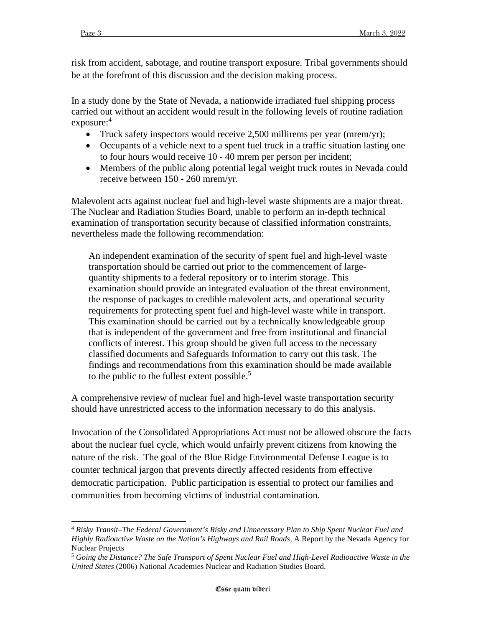risk from accident, sabotage, and routine transport exposure. Tribal governments should be at the forefront of this discussion and the decision making process.

In a study done by the State of Nevada, a nationwide irradiated fuel shipping process carried out without an accident would result in the following levels of routine radiation exposure:<sup>4</sup>

- Truck safety inspectors would receive 2,500 millirems per year (mrem/yr);
- Occupants of a vehicle next to a spent fuel truck in a traffic situation lasting one to four hours would receive 10 - 40 mrem per person per incident;
- Members of the public along potential legal weight truck routes in Nevada could receive between 150 - 260 mrem/yr.

Malevolent acts against nuclear fuel and high-level waste shipments are a major threat. The Nuclear and Radiation Studies Board, unable to perform an in-depth technical examination of transportation security because of classified information constraints, nevertheless made the following recommendation:

An independent examination of the security of spent fuel and high-level waste transportation should be carried out prior to the commencement of largequantity shipments to a federal repository or to interim storage. This examination should provide an integrated evaluation of the threat environment, the response of packages to credible malevolent acts, and operational security requirements for protecting spent fuel and high-level waste while in transport. This examination should be carried out by a technically knowledgeable group that is independent of the government and free from institutional and financial conflicts of interest. This group should be given full access to the necessary classified documents and Safeguards Information to carry out this task. The findings and recommendations from this examination should be made available to the public to the fullest extent possible.<sup>5</sup>

A comprehensive review of nuclear fuel and high-level waste transportation security should have unrestricted access to the information necessary to do this analysis.

Invocation of the Consolidated Appropriations Act must not be allowed obscure the facts about the nuclear fuel cycle, which would unfairly prevent citizens from knowing the nature of the risk. The goal of the Blue Ridge Environmental Defense League is to counter technical jargon that prevents directly affected residents from effective democratic participation. Public participation is essential to protect our families and communities from becoming victims of industrial contamination.

<sup>4</sup> *Risky Transit–The Federal Government's Risky and Unnecessary Plan to Ship Spent Nuclear Fuel and Highly Radioactive Waste on the Nation's Highways and Rail Roads*, A Report by the Nevada Agency for Nuclear Projects

<sup>5</sup> *Going the Distance? The Safe Transport of Spent Nuclear Fuel and High-Level Radioactive Waste in the United States* (2006) National Academies Nuclear and Radiation Studies Board.